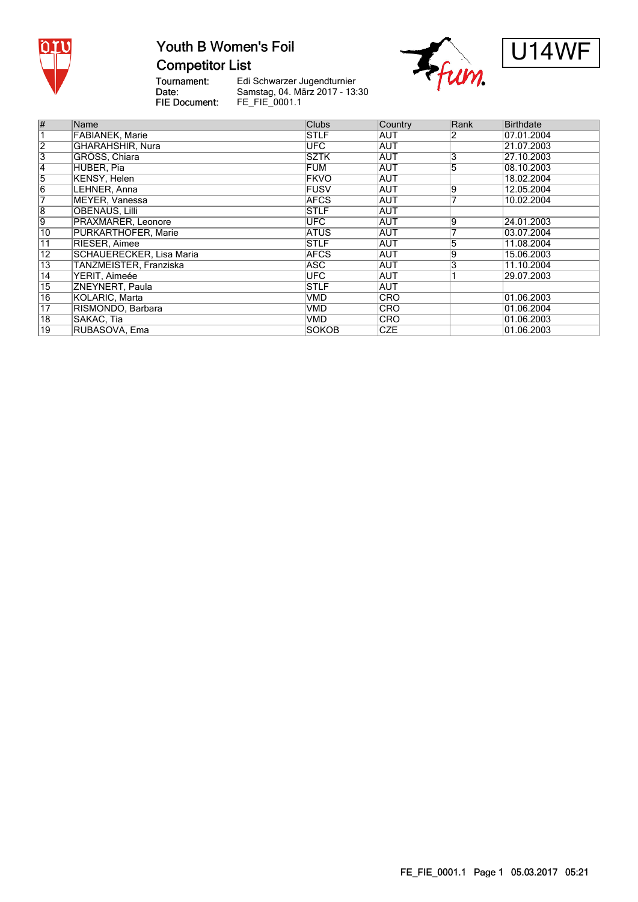

# Youth B Women's Foil **Competitor List**





Tournament:<br>Date: FIE Document:

Edi Schwarzer Jugendturnier Samstag, 04. März 2017 - 13:30 FE\_FIE\_0001.1

| $\overline{\#}$ | Name                            | <b>Clubs</b>    | Country    | Rank | <b>Birthdate</b> |
|-----------------|---------------------------------|-----------------|------------|------|------------------|
|                 | FABIANEK, Marie                 | <b>STLF</b>     | AUT        | 2    | 07.01.2004       |
| $\overline{2}$  | <b>GHARAHSHIR, Nura</b>         | UFC <sup></sup> | <b>AUT</b> |      | 21.07.2003       |
| 3               | GRÖSS, Chiara                   | <b>SZTK</b>     | AUT        | 3    | 27.10.2003       |
| $\overline{4}$  | HUBER, Pia                      | <b>FUM</b>      | <b>AUT</b> | 5    | 08.10.2003       |
| $\overline{5}$  | <b>KENSY, Helen</b>             | <b>FKVO</b>     | <b>AUT</b> |      | 18.02.2004       |
| $\overline{6}$  | LEHNER, Anna                    | <b>FUSV</b>     | <b>AUT</b> | 9    | 12.05.2004       |
| 7               | <b>MEYER, Vanessa</b>           | <b>AFCS</b>     | AUT        |      | 10.02.2004       |
| $\overline{8}$  | <b>OBENAUS, Lilli</b>           | <b>STLF</b>     | <b>AUT</b> |      |                  |
| $\overline{9}$  | PRAXMARER, Leonore              | UFC <sup></sup> | <b>AUT</b> | 9    | 24.01.2003       |
| 10              | PURKARTHOFER, Marie             | <b>ATUS</b>     | <b>AUT</b> |      | 03.07.2004       |
| 11              | RIESER, Aimee                   | <b>STLF</b>     | <b>AUT</b> | 5    | 11.08.2004       |
| $\overline{12}$ | <b>SCHAUERECKER, Lisa Maria</b> | <b>AFCS</b>     | <b>AUT</b> | 9    | 15.06.2003       |
| $\overline{13}$ | TANZMEISTER, Franziska          | <b>ASC</b>      | AUT        | 3    | 11.10.2004       |
| $\overline{14}$ | YERIT, Aimeée                   | <b>UFC</b>      | <b>AUT</b> |      | 29.07.2003       |
| $\overline{15}$ | ZNEYNERT, Paula                 | <b>STLF</b>     | <b>AUT</b> |      |                  |
| $\overline{16}$ | KOLARIC, Marta                  | <b>VMD</b>      | <b>CRO</b> |      | 01.06.2003       |
| $\overline{17}$ | RISMONDO, Barbara               | <b>VMD</b>      | <b>CRO</b> |      | 01.06.2004       |
| $\overline{18}$ | SAKAC, Tia                      | <b>VMD</b>      | <b>CRO</b> |      | 01.06.2003       |
| $\overline{19}$ | RUBASOVA, Ema                   | <b>SOKOB</b>    | <b>CZE</b> |      | 01.06.2003       |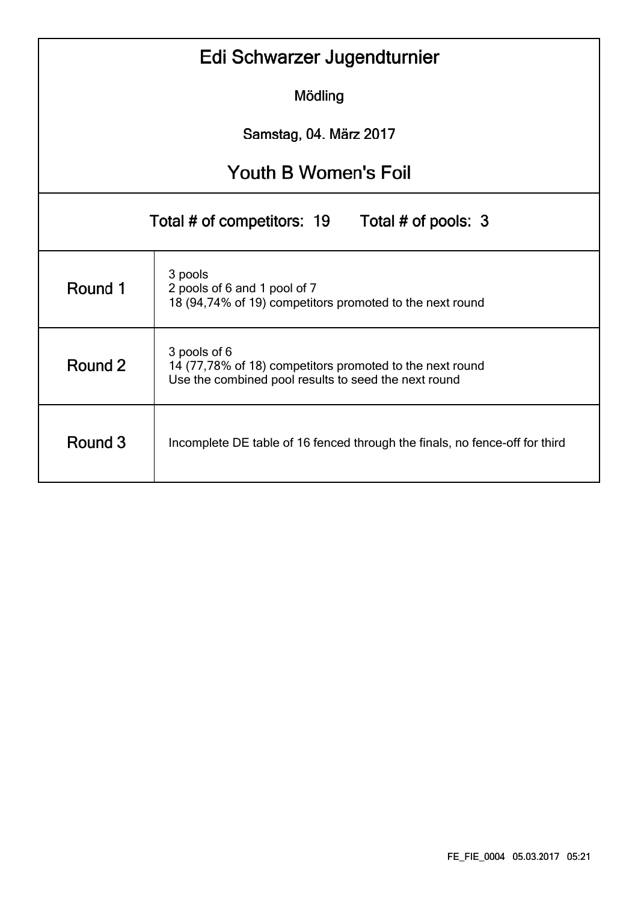| Edi Schwarzer Jugendturnier                                                            |                                                                                                                                  |  |  |  |  |  |  |  |  |
|----------------------------------------------------------------------------------------|----------------------------------------------------------------------------------------------------------------------------------|--|--|--|--|--|--|--|--|
| Mödling                                                                                |                                                                                                                                  |  |  |  |  |  |  |  |  |
| Samstag, 04. März 2017                                                                 |                                                                                                                                  |  |  |  |  |  |  |  |  |
| <b>Youth B Women's Foil</b>                                                            |                                                                                                                                  |  |  |  |  |  |  |  |  |
|                                                                                        | Total # of pools: 3<br>Total # of competitors: 19                                                                                |  |  |  |  |  |  |  |  |
| Round 1                                                                                | 3 pools<br>2 pools of 6 and 1 pool of 7<br>18 (94,74% of 19) competitors promoted to the next round                              |  |  |  |  |  |  |  |  |
| Round 2                                                                                | 3 pools of 6<br>14 (77,78% of 18) competitors promoted to the next round<br>Use the combined pool results to seed the next round |  |  |  |  |  |  |  |  |
| Round 3<br>Incomplete DE table of 16 fenced through the finals, no fence-off for third |                                                                                                                                  |  |  |  |  |  |  |  |  |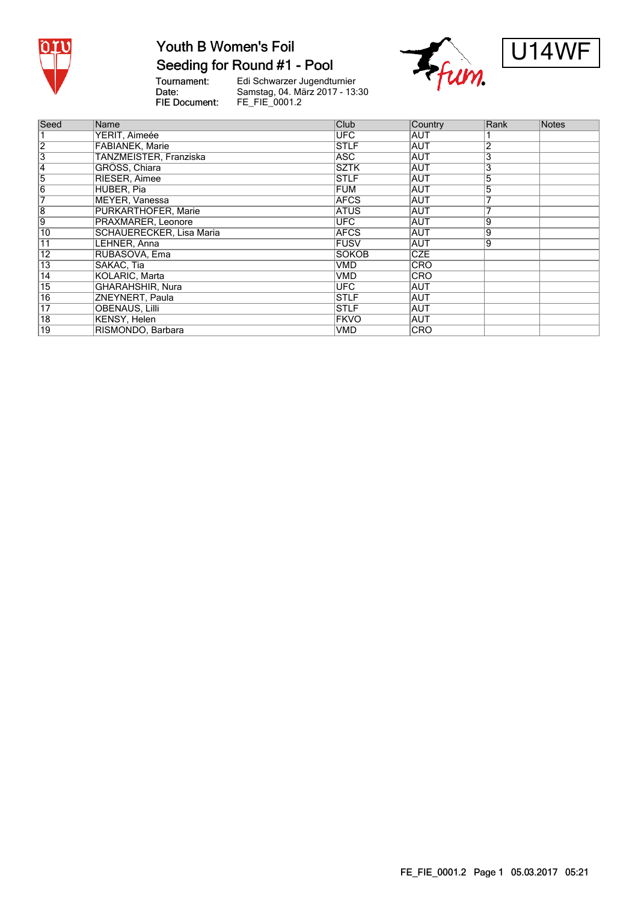

# **Youth B Women's Foil**

#### Seeding for Round #1 - Pool

Tournament:<br>Date: FIE Document:

Edi Schwarzer Jugendturnier<br>Samstag, 04. März 2017 - 13:30<br>FE\_FIE\_0001.2





| Seed            | Name                            | Club         | Country    | Rank           | Notes |
|-----------------|---------------------------------|--------------|------------|----------------|-------|
|                 | YERIT, Aimeée                   | <b>UFC</b>   | <b>AUT</b> |                |       |
| $\overline{2}$  | <b>FABIANEK, Marie</b>          | <b>STLF</b>  | <b>AUT</b> | $\overline{2}$ |       |
| 3               | TANZMEISTER, Franziska          | <b>ASC</b>   | <b>AUT</b> | 3              |       |
| 4               | GRÖSS, Chiara                   | <b>SZTK</b>  | <b>AUT</b> | 3              |       |
| $\overline{5}$  | RIESER, Aimee                   | <b>STLF</b>  | <b>AUT</b> | 5              |       |
| $\overline{6}$  | HUBER, Pia                      | FUM          | IAUT       | 5              |       |
| 7               | MEYER, Vanessa                  | <b>AFCS</b>  | <b>AUT</b> |                |       |
| 8               | PURKARTHOFER, Marie             | <b>ATUS</b>  | <b>AUT</b> |                |       |
| ទ               | PRAXMARER, Leonore              | <b>UFC</b>   | <b>AUT</b> | 9              |       |
| 10              | <b>SCHAUERECKER, Lisa Maria</b> | <b>AFCS</b>  | <b>AUT</b> | Ι9             |       |
| $\overline{11}$ | LEHNER, Anna                    | <b>FUSV</b>  | <b>AUT</b> | 9              |       |
| $\overline{12}$ | RUBASOVA, Ema                   | <b>SOKOB</b> | <b>CZE</b> |                |       |
| $\overline{13}$ | SAKAC, Tia                      | VMD          | CRO        |                |       |
| $\overline{14}$ | KOLARIC, Marta                  | VMD          | <b>CRO</b> |                |       |
| $\overline{15}$ | GHARAHSHIR, Nura                | <b>UFC</b>   | <b>AUT</b> |                |       |
| 16              | ZNEYNERT, Paula                 | <b>STLF</b>  | <b>AUT</b> |                |       |
| $\overline{17}$ | <b>OBENAUS, Lilli</b>           | <b>STLF</b>  | <b>AUT</b> |                |       |
| $\overline{18}$ | KENSY, Helen                    | <b>FKVO</b>  | <b>AUT</b> |                |       |
| 19              | RISMONDO, Barbara               | <b>VMD</b>   | <b>CRO</b> |                |       |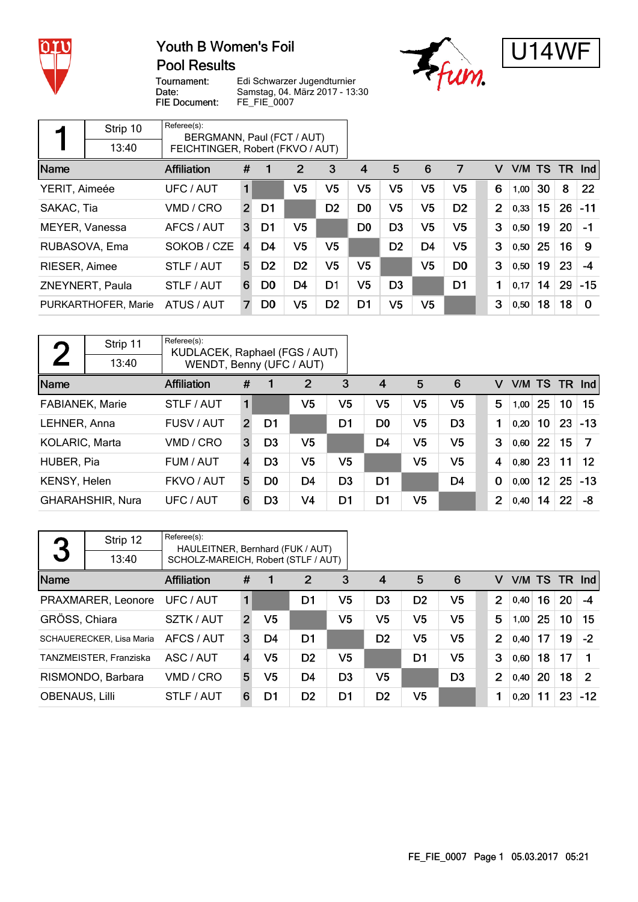

## Youth B Women's Foil **Pool Results**





Tournament: Date: FIE Document:

Edi Schwarzer Jugendturnier Samstag, 04. März 2017 - 13:30 FE\_FIE\_0007

|                | Strip 10            | Referee(s):<br>BERGMANN, Paul (FCT / AUT) |                |                |                |                |                |                |                |                |   |        |    |    |          |
|----------------|---------------------|-------------------------------------------|----------------|----------------|----------------|----------------|----------------|----------------|----------------|----------------|---|--------|----|----|----------|
|                | 13:40               | FEICHTINGER, Robert (FKVO / AUT)          |                |                |                |                |                |                |                |                |   |        |    |    |          |
| Name           |                     | <b>Affiliation</b>                        | #              |                | 2              | 3              | 4              | 5              | 6              | 7              | v | V/M TS |    |    | TR Ind   |
| YERIT, Aimeée  |                     | UFC / AUT                                 | 1              |                | V <sub>5</sub> | V <sub>5</sub> | V <sub>5</sub> | V <sub>5</sub> | V <sub>5</sub> | V <sub>5</sub> | 6 | 1,00   | 30 | 8  | 22       |
| SAKAC, Tia     |                     | VMD / CRO                                 | $\overline{2}$ | D1             |                | D <sub>2</sub> | D <sub>0</sub> | V <sub>5</sub> | V <sub>5</sub> | D <sub>2</sub> | 2 | 0,33   | 15 | 26 | $-11$    |
| MEYER, Vanessa |                     | AFCS / AUT                                | 3              | D <sub>1</sub> | V <sub>5</sub> |                | D <sub>0</sub> | D <sub>3</sub> | V <sub>5</sub> | V <sub>5</sub> | 3 | 0,50   | 19 | 20 | -1       |
| RUBASOVA, Ema  |                     | SOKOB / CZE                               | $\overline{4}$ | D4             | V <sub>5</sub> | V <sub>5</sub> |                | D <sub>2</sub> | D <sub>4</sub> | V <sub>5</sub> | 3 | 0,50   | 25 | 16 | -9       |
| RIESER, Aimee  |                     | STLF / AUT                                | 5              | D <sub>2</sub> | D <sub>2</sub> | V5             | V <sub>5</sub> |                | V <sub>5</sub> | D <sub>0</sub> | 3 | 0,50   | 19 | 23 | -4       |
|                | ZNEYNERT, Paula     | STLF / AUT                                | 6              | D <sub>0</sub> | D <sub>4</sub> | D <sub>1</sub> | V <sub>5</sub> | D <sub>3</sub> |                | D <sub>1</sub> | 1 | 0,17   | 14 | 29 | $-15$    |
|                | PURKARTHOFER, Marie | ATUS / AUT                                |                | D <sub>0</sub> | V5             | D <sub>2</sub> | D1             | V <sub>5</sub> | V5             |                | 3 | 0,50   | 18 | 18 | $\Omega$ |

| η                      | Strip 11         | Referee(s):<br>KUDLACEK, Raphael (FGS / AUT) |                |                |                |                |                |                |                |             |        |                 |           |                   |
|------------------------|------------------|----------------------------------------------|----------------|----------------|----------------|----------------|----------------|----------------|----------------|-------------|--------|-----------------|-----------|-------------------|
|                        | 13:40            | WENDT, Benny (UFC / AUT)                     |                |                |                |                |                |                |                |             |        |                 |           |                   |
| Name                   |                  | Affiliation                                  | #              |                | $\overline{2}$ | 3              | $\overline{4}$ | 5              | 6              | v           | V/M TS |                 | <b>TR</b> | <b>Ind</b>        |
| <b>FABIANEK, Marie</b> |                  | STLF / AUT                                   |                |                | V5             | V5             | V5             | V5             | V <sub>5</sub> | 5           | 1,00   | 25              | 10        | 15                |
| LEHNER, Anna           |                  | FUSV / AUT                                   | $\overline{2}$ | D1             |                | D <sub>1</sub> | D <sub>0</sub> | V <sub>5</sub> | D <sub>3</sub> | 1           | 0,20   | 10              | 23        | $-13$             |
| KOLARIC, Marta         |                  | VMD / CRO                                    | 3              | D <sub>3</sub> | V5             |                | D <sub>4</sub> | V5             | V <sub>5</sub> | 3           | 0,60   | 22              | 15        |                   |
| HUBER, Pia             |                  | FUM / AUT                                    | $\overline{4}$ | D <sub>3</sub> | V <sub>5</sub> | V5             |                | V5             | V <sub>5</sub> | 4           | 0,80   | 23              | 11        | $12 \overline{ }$ |
| KENSY, Helen           |                  | FKVO / AUT                                   | 5              | D0             | D4             | D3             | D1             |                | D <sub>4</sub> | $\mathbf 0$ | 0,00   | 12 <sup>°</sup> | 25        | $-13$             |
|                        | GHARAHSHIR, Nura | UFC / AUT                                    | 6              | D3             | V4             | D <sub>1</sub> | D <sub>1</sub> | V5             |                | 2           | 0,40   | 14              | 22        | -8                |

| 3                     | Strip 12                        | Referee(s):<br>HAULEITNER, Bernhard (FUK / AUT) |                |    |                |                |                |                |                |   |   |      |    |    |               |
|-----------------------|---------------------------------|-------------------------------------------------|----------------|----|----------------|----------------|----------------|----------------|----------------|---|---|------|----|----|---------------|
|                       | 13:40                           | SCHOLZ-MAREICH, Robert (STLF / AUT)             |                |    |                |                |                |                |                |   |   |      |    |    |               |
| Name                  |                                 | Affiliation                                     | #              |    | $\overline{2}$ | 3              | $\overline{4}$ | 5              | 6              |   | v |      |    |    | V/M TS TR Ind |
|                       | PRAXMARER, Leonore              | UFC / AUT                                       | 1              |    | D1             | V5             | D3             | D <sub>2</sub> | V5             |   | 2 | 0.40 | 16 | 20 | $-4$          |
| GRÖSS, Chiara         |                                 | SZTK / AUT                                      | $\overline{2}$ | V5 |                | V5             | V5             | V <sub>5</sub> | V5             |   | 5 | 1.00 | 25 | 10 | 15            |
|                       | <b>SCHAUERECKER, Lisa Maria</b> | AFCS / AUT                                      | 3              | D4 | D1             |                | D <sub>2</sub> | V <sub>5</sub> | V5             |   | 2 | 0.40 | 17 | 19 | $-2$          |
|                       | TANZMEISTER, Franziska          | ASC / AUT                                       | 4              | V5 | D <sub>2</sub> | V5             |                | D1             | V5             |   | 3 | 0,60 | 18 | 17 |               |
|                       | RISMONDO, Barbara               | VMD / CRO                                       | 5              | V5 | D4             | D <sub>3</sub> | V5             |                | D <sub>3</sub> |   | 2 | 0,40 | 20 | 18 | $\mathcal{P}$ |
| <b>OBENAUS, Lilli</b> |                                 | STLF / AUT                                      | 6              | D1 | D <sub>2</sub> | D <sub>1</sub> | D <sub>2</sub> | V <sub>5</sub> |                | 1 |   | 0,20 | 11 | 23 | $-12$         |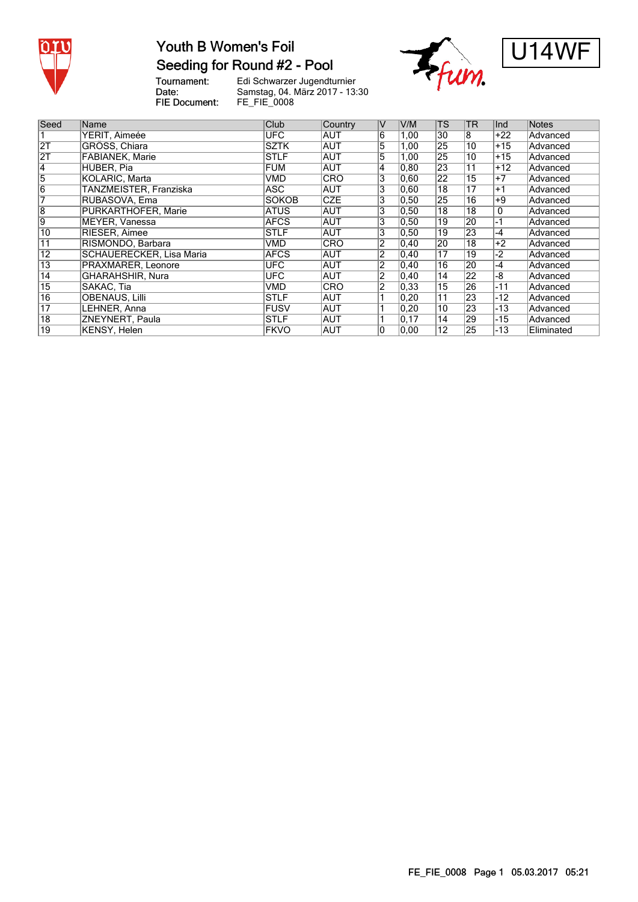

# Youth B Women's Foil Seeding for Round #2 - Pool

Tournament:<br>Date:

Edi Schwarzer Jugendturnier Samstag, 04. März 2017 - 13:30 FIE Document: FE\_FIE\_0008





| Seed            | Name                            | Club         | Country    | V              | V/M            | <b>TS</b>       | <b>TR</b>       | Ind   | <b>Notes</b> |
|-----------------|---------------------------------|--------------|------------|----------------|----------------|-----------------|-----------------|-------|--------------|
|                 |                                 |              |            |                |                |                 |                 |       |              |
|                 | YERIT, Aimeée                   | <b>UFC</b>   | IAUT       | 6              | 1,00           | 30              | 8               | $+22$ | Advanced     |
| 2T              | GRÖSS, Chiara                   | <b>SZTK</b>  | AUT        | 5              | 1,00           | 25              | 10              | $+15$ | Advanced     |
| $\overline{2T}$ | <b>FABIANEK, Marie</b>          | <b>STLF</b>  | <b>AUT</b> | 5              | 1,00           | 25              | $\overline{10}$ | $+15$ | Advanced     |
| $\overline{4}$  | HUBER, Pia                      | <b>FUM</b>   | <b>AUT</b> | 4              | 0.80           | 23              | $\overline{11}$ | $+12$ | Advanced     |
| 5               | KOLARIC, Marta                  | VMD          | <b>CRO</b> | 3              | 0.60           | $\overline{22}$ | $\overline{15}$ | $+7$  | Advanced     |
| $\overline{6}$  | TANZMEISTER, Franziska          | ASC          | AUT        | 3              | 0.60           | $\overline{18}$ | 17              | $+1$  | Advanced     |
|                 | RUBASOVA, Ema                   | <b>SOKOB</b> | <b>CZE</b> | 3              | 0,50           | $2\overline{5}$ | $\overline{16}$ | $+9$  | Advanced     |
| 8               | PURKARTHOFER, Marie             | ATUS         | IAUT       | 3              | 0,50           | 18              | 18              | 0     | Advanced     |
| 9               | MEYER, Vanessa                  | <b>AFCS</b>  | <b>AUT</b> | 3              | 0,50           | $\overline{19}$ | 20              | $-1$  | Advanced     |
| 10              | <b>RIESER, Aimee</b>            | <b>STLF</b>  | <b>AUT</b> | 3              | 0,50           | 19              | 23              | $-4$  | Advanced     |
| 11              | RISMONDO, Barbara               | VMD          | <b>CRO</b> | $\overline{2}$ | 0,40           | 20              | $\overline{18}$ | $+2$  | Advanced     |
| $\overline{12}$ | <b>SCHAUERECKER, Lisa Maria</b> | <b>AFCS</b>  | <b>AUT</b> | $\overline{2}$ | 0,40           | $\overline{17}$ | $\overline{19}$ | -2    | Advanced     |
| $\overline{13}$ | PRAXMARER, Leonore              | UFC          | AUT        | 2              | 0,40           | 16              | 20              | -4    | Advanced     |
| $\overline{14}$ | GHARAHSHIR, Nura                | UFC          | IAUT       | 2              | $ 0,40\rangle$ | 14              | 22              | -8    | Advanced     |
| 15              | SAKAC, Tia                      | VMD          | <b>CRO</b> | $\overline{2}$ | 0,33           | $\overline{15}$ | 26              | $-11$ | Advanced     |
| $\overline{16}$ | <b>OBENAUS, Lilli</b>           | <b>STLF</b>  | AUT        |                | 0,20           | $\overline{11}$ | 23              | $-12$ | Advanced     |
| $\overline{17}$ | LEHNER, Anna                    | <b>FUSV</b>  | AUT        |                | 0,20           | 10              | 23              | $-13$ | Advanced     |
| $\overline{18}$ | ZNEYNERT, Paula                 | ISTLF        | AUT        |                | 0,17           | 14              | 29              | $-15$ | Advanced     |
| $\overline{19}$ | KENSY, Helen                    | <b>FKVO</b>  | AUT        | 10             | 0,00           | $\overline{12}$ | 25              | $-13$ | Eliminated   |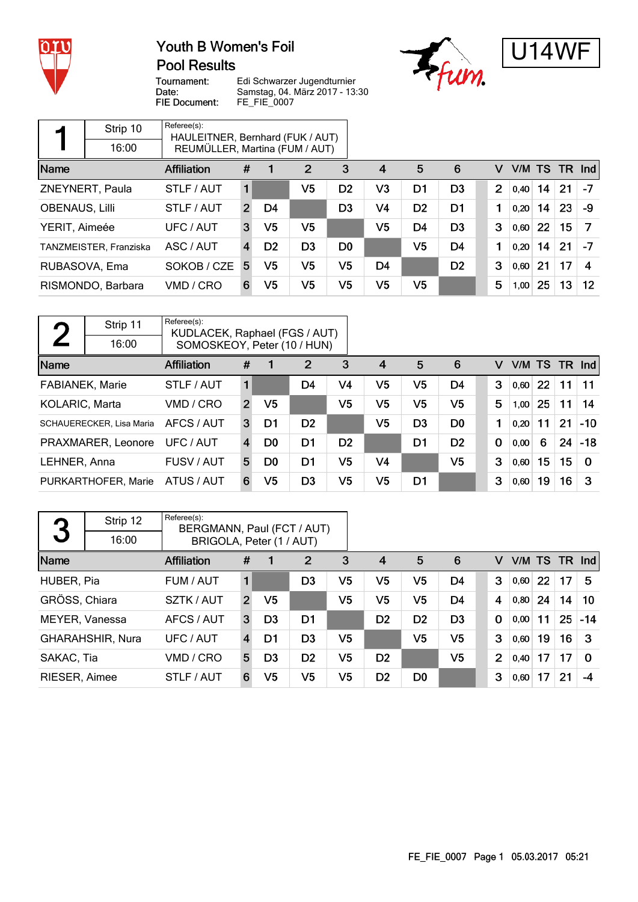

## Youth B Women's Foil **Pool Results**





Tournament: Date: FIE Document:

Edi Schwarzer Jugendturnier Samstag, 04. März 2017 - 13:30 FE\_FIE\_0007

|                       | Strip 10               | Referee(s):<br>HAULEITNER, Bernhard (FUK / AUT) |                  |                |                |                |                |                |                |                |        |    |    |                   |
|-----------------------|------------------------|-------------------------------------------------|------------------|----------------|----------------|----------------|----------------|----------------|----------------|----------------|--------|----|----|-------------------|
|                       | 16:00                  | REUMÜLLER, Martina (FUM / AUT)                  |                  |                |                |                |                |                |                |                |        |    |    |                   |
| Name                  |                        | Affiliation                                     | #                |                | $\overline{2}$ | 3              | $\overline{4}$ | 5              | 6              | v              | V/M TS |    |    | $TR$ Ind          |
|                       | ZNEYNERT, Paula        | STLF / AUT                                      | 1                |                | V5             | D <sub>2</sub> | V <sub>3</sub> | D <sub>1</sub> | D <sub>3</sub> | $\overline{2}$ | 0.40   | 14 | 21 | -7                |
| <b>OBENAUS, Lilli</b> |                        | STLF / AUT                                      | $\overline{2}$   | D4             |                | D3             | V4             | D <sub>2</sub> | D <sub>1</sub> |                | 0,20   | 14 | 23 | -9                |
| YERIT, Aimeée         |                        | UFC / AUT                                       | 3                | V5             | V5             |                | V5             | D <sub>4</sub> | D <sub>3</sub> | 3              | 0,60   | 22 | 15 |                   |
|                       | TANZMEISTER, Franziska | ASC / AUT                                       | $\boldsymbol{4}$ | D <sub>2</sub> | D <sub>3</sub> | D <sub>0</sub> |                | V <sub>5</sub> | D <sub>4</sub> | 1              | 0,20   | 14 | 21 | $-7$              |
| RUBASOVA, Ema         |                        | SOKOB / CZE                                     | 5                | V5             | V5             | V5             | D <sub>4</sub> |                | D <sub>2</sub> | 3              | 0.60   | 21 | 17 | 4                 |
|                       | RISMONDO, Barbara      | VMD / CRO                                       | 6                | V5             | V5             | V5             | V5             | V5             |                | 5              | 1,00   | 25 | 13 | $12 \overline{ }$ |

| $\bigcap$              | Strip 11                 | Referee(s):<br>KUDLACEK, Raphael (FGS / AUT) |                |                |                |                |                |                |                |             |      |           |               |          |
|------------------------|--------------------------|----------------------------------------------|----------------|----------------|----------------|----------------|----------------|----------------|----------------|-------------|------|-----------|---------------|----------|
|                        | 16:00                    | SOMOSKEOY, Peter (10 / HUN)                  |                |                |                |                |                |                |                |             |      |           |               |          |
| Name                   |                          | <b>Affiliation</b>                           | #              |                | $\overline{2}$ | 3              | $\overline{4}$ | 5              | 6              | v           |      |           | V/M TS TR Ind |          |
| <b>FABIANEK, Marie</b> |                          | STLF / AUT                                   | 1              |                | D <sub>4</sub> | V4             | V5             | V <sub>5</sub> | D <sub>4</sub> | 3           | 0,60 | <b>22</b> | 11            | 11       |
| KOLARIC, Marta         |                          | VMD / CRO                                    | $\overline{2}$ | V5             |                | V <sub>5</sub> | V <sub>5</sub> | V <sub>5</sub> | V <sub>5</sub> | 5           | 1,00 | 25        | 11            | 14       |
|                        | SCHAUERECKER, Lisa Maria | AFCS / AUT                                   | 3              | D1             | D <sub>2</sub> |                | V <sub>5</sub> | D <sub>3</sub> | D <sub>0</sub> | 1           | 0.20 | 11        | 21            | $-10$    |
|                        | PRAXMARER, Leonore       | UFC / AUT                                    | $\overline{4}$ | D <sub>0</sub> | D1             | D <sub>2</sub> |                | D1             | D <sub>2</sub> | $\mathbf 0$ | 0,00 | 6         | 24            | $-18$    |
| LEHNER, Anna           |                          | FUSV / AUT                                   | 5              | D <sub>0</sub> | D1             | V5             | V4             |                | V <sub>5</sub> | 3           | 0,60 | 15        | 15            | $\Omega$ |
|                        | PURKARTHOFER, Marie      | ATUS / AUT                                   | 6              | V5             | D <sub>3</sub> | V5             | V <sub>5</sub> | D1             |                | 3           | 0,60 | 19        | 16            | 3        |

| 3              | Strip 12         | Referee(s):<br>BERGMANN, Paul (FCT / AUT) |                |                |                |                |                |                |                |             |                |        |    |    |          |
|----------------|------------------|-------------------------------------------|----------------|----------------|----------------|----------------|----------------|----------------|----------------|-------------|----------------|--------|----|----|----------|
|                | 16:00            | BRIGOLA, Peter (1 / AUT)                  |                |                |                |                |                |                |                |             |                |        |    |    |          |
| Name           |                  | <b>Affiliation</b>                        | #              |                | $\overline{2}$ | 3              | $\overline{4}$ | 5              | 6              |             | v              | V/M TS |    |    | $TR$ Ind |
| HUBER, Pia     |                  | FUM / AUT                                 |                |                | D <sub>3</sub> | V5             | V5             | V5             | D4             |             | 3              | 0,60   | 22 | 17 | 5        |
| GRÖSS, Chiara  |                  | SZTK / AUT                                | $\overline{2}$ | V <sub>5</sub> |                | V5             | V5             | V5             | D <sub>4</sub> |             | 4              | 0,80   | 24 | 14 | 10       |
| MEYER, Vanessa |                  | AFCS / AUT                                | 3              | D <sub>3</sub> | D1             |                | D <sub>2</sub> | D <sub>2</sub> | D <sub>3</sub> | $\mathbf 0$ |                | 0,00   | 11 | 25 | $-14$    |
|                | GHARAHSHIR, Nura | UFC / AUT                                 | $\overline{4}$ | D1             | D <sub>3</sub> | V <sub>5</sub> |                | V <sub>5</sub> | V <sub>5</sub> |             | 3              | 0,60   | 19 | 16 | 3        |
| SAKAC, Tia     |                  | VMD / CRO                                 | 5              | D <sub>3</sub> | D <sub>2</sub> | V <sub>5</sub> | D <sub>2</sub> |                | V <sub>5</sub> |             | $\overline{2}$ | 0.40   | 17 | 17 | $\Omega$ |
| RIESER, Aimee  |                  | STLF / AUT                                | 6              | V5             | V <sub>5</sub> | V <sub>5</sub> | D <sub>2</sub> | D <sub>0</sub> |                |             | 3              | 0,60   | 17 | 21 | $-4$     |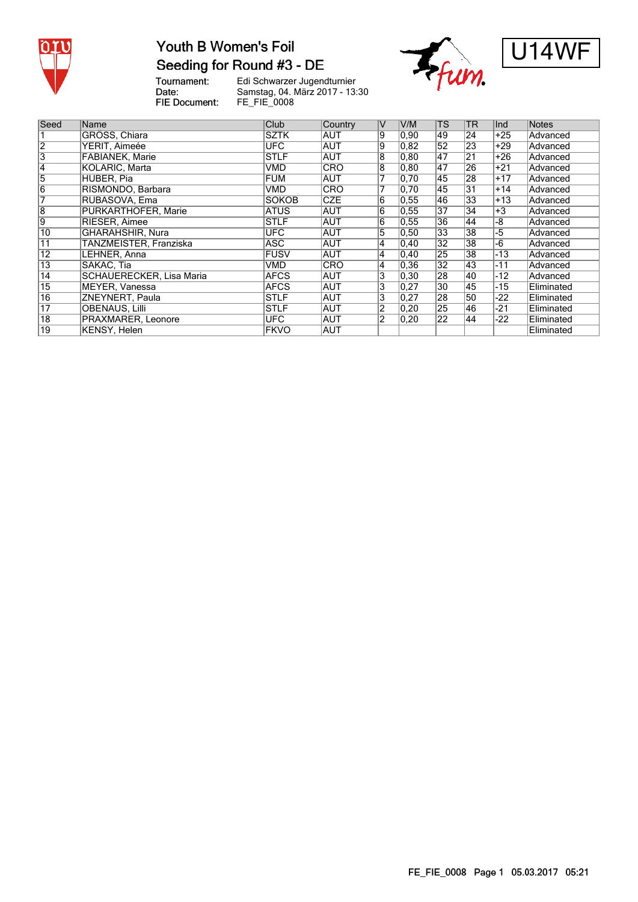

## Youth B Women's Foil Seeding for Round #3 - DE





Tournament:<br>Date: FIE Document:

Edi Schwarzer Jugendturnier Samstag, 04. März 2017 - 13:30 FE\_FIE\_0008

| Seed            | Name                     | Club         | Country    | IV             | V/M            | <b>TS</b>        | <b>TR</b>        | Ind   | <b>Notes</b> |
|-----------------|--------------------------|--------------|------------|----------------|----------------|------------------|------------------|-------|--------------|
|                 | GRÖSS, Chiara            | <b>SZTK</b>  | <b>AUT</b> | Ι9             | $ 0,90\rangle$ | 49               | $\overline{24}$  | $+25$ | Advanced     |
| $\overline{2}$  | YERIT, Aimeée            | <b>UFC</b>   | <b>AUT</b> | 9              | 0,82           | 52               | 23               | $+29$ | Advanced     |
| $\overline{3}$  | <b>FABIANEK, Marie</b>   | <b>STLF</b>  | <b>AUT</b> | 8              | 0, 80          | 147              | 21               | $+26$ | Advanced     |
| $\overline{4}$  | <b>KOLARIC, Marta</b>    | VMD          | CRO        | 18             | 0.80           | $\overline{147}$ | $\overline{26}$  | $+21$ | Advanced     |
| $\overline{5}$  | HUBER, Pia               | <b>FUM</b>   | <b>AUT</b> |                | 0,70           | 45               | $\overline{28}$  | $+17$ | Advanced     |
| $\overline{6}$  | RISMONDO, Barbara        | VMD          | <b>CRO</b> |                | 0,70           | 45               | 31               | $+14$ | Advanced     |
| 17              | RUBASOVA, Ema            | <b>SOKOB</b> | <b>CZE</b> | 6              | 0,55           | 46               | 33               | $+13$ | Advanced     |
| $\overline{8}$  | PURKARTHOFER, Marie      | <b>ATUS</b>  | <b>AUT</b> | $\overline{6}$ | 0,55           | $\overline{37}$  | $\overline{34}$  | $+3$  | Advanced     |
| 9               | RIESER, Aimee            | <b>STLF</b>  | AUT        | 6              | 0,55           | $\overline{36}$  | 44               | -8    | Advanced     |
| $\overline{10}$ | GHARAHSHIR, Nura         | UFC.         | AUT        | $\overline{5}$ | 0,50           | $\overline{33}$  | 38               | -5    | Advanced     |
| 11              | TANZMEISTER, Franziska   | <b>ASC</b>   | AUT        | 14             | $ 0,40\rangle$ | 32               | 38               | $-6$  | Advanced     |
| $\overline{12}$ | LEHNER, Anna             | <b>FUSV</b>  | <b>AUT</b> | 14             | 0,40           | 25               | 38               | $-13$ | Advanced     |
| $\overline{13}$ | SAKAC, Tia               | VMD          | <b>CRO</b> | 4              | 0,36           | $\overline{32}$  | 43               | $-11$ | Advanced     |
| $\overline{14}$ | SCHAUERECKER, Lisa Maria | <b>AFCS</b>  | AUT        | 3              | $ 0,30\rangle$ | 28               | 40               | $-12$ | Advanced     |
| $\overline{15}$ | MEYER, Vanessa           | <b>AFCS</b>  | AUT        | $\overline{3}$ | 0,27           | $\overline{30}$  | 45               | $-15$ | Eliminated   |
| $\overline{16}$ | ZNEYNERT, Paula          | <b>STLF</b>  | AUT        | $\overline{3}$ | 0,27           | $\overline{28}$  | 50               | -22   | Eliminated   |
| $\overline{17}$ | <b>OBENAUS, Lilli</b>    | <b>STLF</b>  | <b>AUT</b> | $\overline{2}$ | 0,20           | 25               | 46               | $-21$ | Eliminated   |
| $\overline{18}$ | PRAXMARER, Leonore       | <b>UFC</b>   | AUT        | $\overline{2}$ | 0,20           | $\overline{22}$  | $\overline{144}$ | $-22$ | Eliminated   |
| 19              | KENSY, Helen             | <b>FKVO</b>  | <b>AUT</b> |                |                |                  |                  |       | Eliminated   |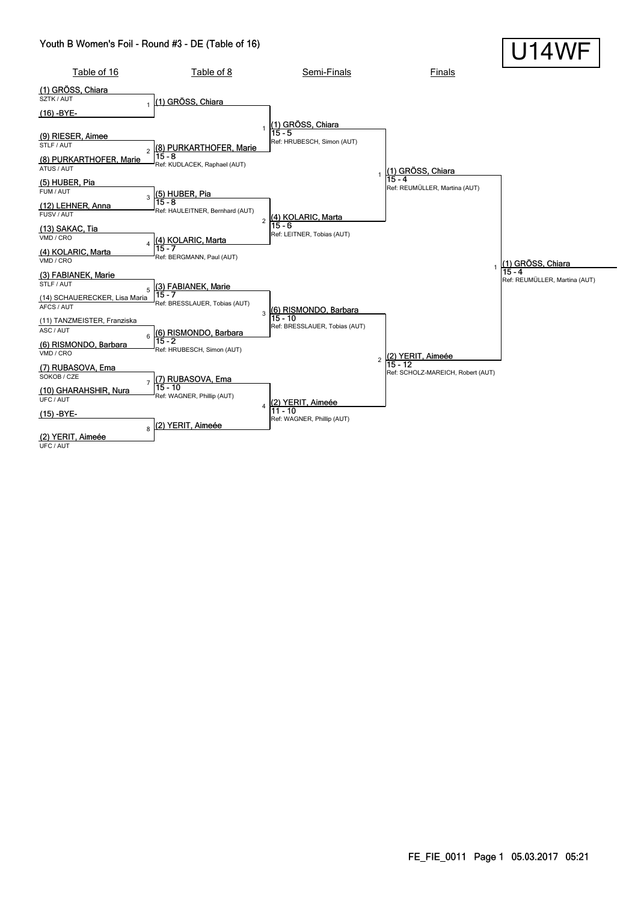#### Youth B Women's Foil - Round #3 - DE (Table of 16)



UFC / AUT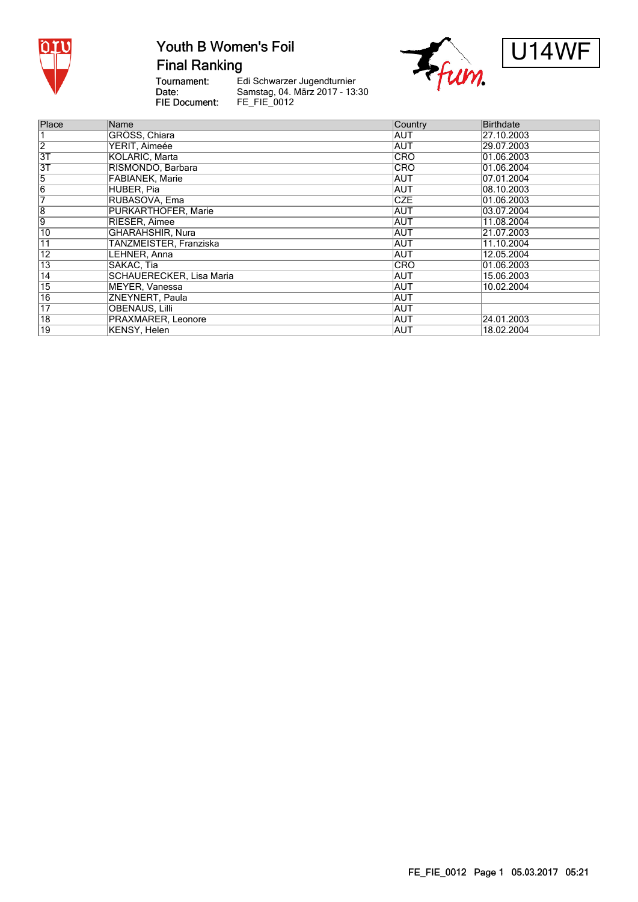

# Youth B Women's Foil

**Final Ranking** 

Tournament:<br>Date: FIE Document:

Edi Schwarzer Jugendturnier Samstag, 04. März 2017 - 13:30<br>FE\_FIE\_0012





| Place           | Name                            | Country    | Birthdate   |
|-----------------|---------------------------------|------------|-------------|
|                 | GRÖSS, Chiara                   | AUT        | 27.10.2003  |
| $\overline{2}$  | YERIT, Aimeée                   | AUT        | 29.07.2003  |
| $\overline{3T}$ | KOLARIC, Marta                  | <b>CRO</b> | 101.06.2003 |
| $\overline{3T}$ | RISMONDO, Barbara               | <b>CRO</b> | 01.06.2004  |
| 5               | <b>FABIANEK, Marie</b>          | <b>AUT</b> | 07.01.2004  |
| $\overline{6}$  | HUBER, Pia                      | AUT        | 08.10.2003  |
| 7               | RUBASOVA, Ema                   | <b>CZE</b> | 01.06.2003  |
| $\overline{8}$  | <b>PURKARTHOFER, Marie</b>      | AUT        | 03.07.2004  |
| 9               | RIESER, Aimee                   | <b>AUT</b> | 11.08.2004  |
| 10              | GHARAHSHIR, Nura                | <b>AUT</b> | 21.07.2003  |
| 11              | TANZMEISTER, Franziska          | <b>AUT</b> | 11.10.2004  |
| $\overline{12}$ | LEHNER, Anna                    | <b>AUT</b> | 12.05.2004  |
| $\overline{13}$ | SAKAC, Tia                      | <b>CRO</b> | 01.06.2003  |
| $\overline{14}$ | <b>SCHAUERECKER, Lisa Maria</b> | AUT        | 15.06.2003  |
| $\overline{15}$ | MEYER, Vanessa                  | AUT        | 10.02.2004  |
| 16              | ZNEYNERT, Paula                 | <b>AUT</b> |             |
| $\overline{17}$ | <b>OBENAUS, Lilli</b>           | <b>AUT</b> |             |
| $\overline{18}$ | PRAXMARER, Leonore              | AUT        | 24.01.2003  |
| 19              | KENSY, Helen                    | <b>AUT</b> | 18.02.2004  |